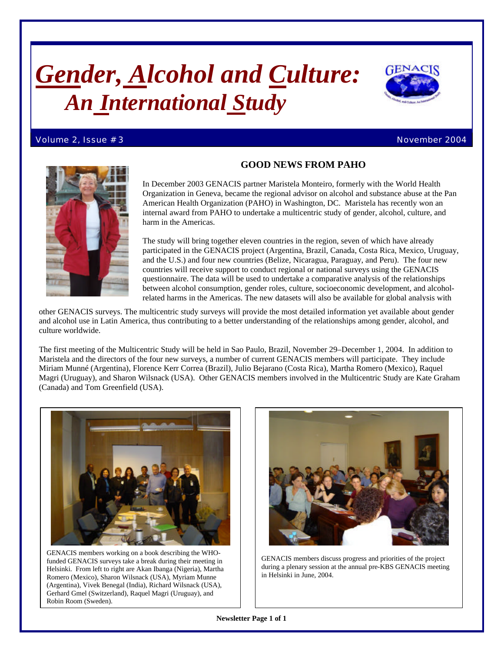# *Gender, Alcohol and Culture: An International Study*

#### Volume 2, Issue # 3 November 2004





# **GOOD NEWS FROM PAHO**

In December 2003 GENACIS partner Maristela Monteiro, formerly with the World Health Organization in Geneva, became the regional advisor on alcohol and substance abuse at the Pan American Health Organization (PAHO) in Washington, DC. Maristela has recently won an internal award from PAHO to undertake a multicentric study of gender, alcohol, culture, and harm in the Americas.

The study will bring together eleven countries in the region, seven of which have already participated in the GENACIS project (Argentina, Brazil, Canada, Costa Rica, Mexico, Uruguay, and the U.S.) and four new countries (Belize, Nicaragua, Paraguay, and Peru). The four new countries will receive support to conduct regional or national surveys using the GENACIS questionnaire. The data will be used to undertake a comparative analysis of the relationships between alcohol consumption, gender roles, culture, socioeconomic development, and alcoholrelated harms in the Americas. The new datasets will also be available for global analysis with

other GENACIS surveys. The multicentric study surveys will provide the most detailed information yet available about gender and alcohol use in Latin America, thus contributing to a better understanding of the relationships among gender, alcohol, and culture worldwide.

The first meeting of the Multicentric Study will be held in Sao Paulo, Brazil, November 29–December 1, 2004. In addition to Maristela and the directors of the four new surveys, a number of current GENACIS members will participate. They include Miriam Munné (Argentina), Florence Kerr Correa (Brazil), Julio Bejarano (Costa Rica), Martha Romero (Mexico), Raquel Magri (Uruguay), and Sharon Wilsnack (USA). Other GENACIS members involved in the Multicentric Study are Kate Graham (Canada) and Tom Greenfield (USA).



GENACIS members working on a book describing the WHOfunded GENACIS surveys take a break during their meeting in Helsinki. From left to right are Akan Ibanga (Nigeria), Martha Romero (Mexico), Sharon Wilsnack (USA), Myriam Munne (Argentina), Vivek Benegal (India), Richard Wilsnack (USA), Gerhard Gmel (Switzerland), Raquel Magri (Uruguay), and Robin Room (Sweden).



GENACIS members discuss progress and priorities of the project during a plenary session at the annual pre-KBS GENACIS meeting in Helsinki in June, 2004.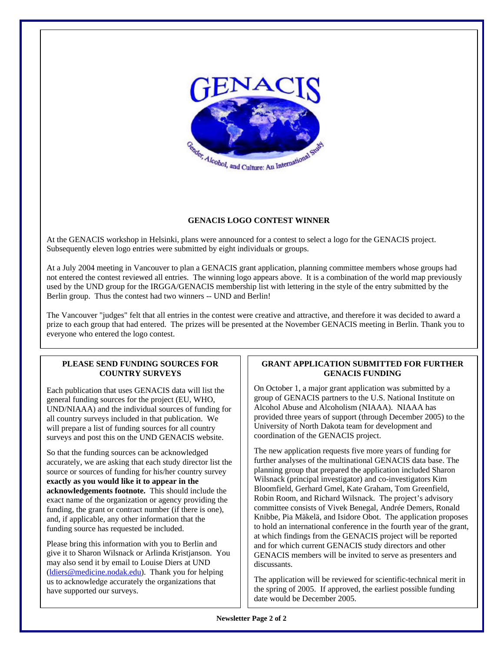

## **GENACIS LOGO CONTEST WINNER**

At the GENACIS workshop in Helsinki, plans were announced for a contest to select a logo for the GENACIS project. Subsequently eleven logo entries were submitted by eight individuals or groups.

At a July 2004 meeting in Vancouver to plan a GENACIS grant application, planning committee members whose groups had not entered the contest reviewed all entries. The winning logo appears above. It is a combination of the world map previously used by the UND group for the IRGGA/GENACIS membership list with lettering in the style of the entry submitted by the Berlin group. Thus the contest had two winners -- UND and Berlin!

The Vancouver "judges" felt that all entries in the contest were creative and attractive, and therefore it was decided to award a prize to each group that had entered. The prizes will be presented at the November GENACIS meeting in Berlin. Thank you to everyone who entered the logo contest.

## **PLEASE SEND FUNDING SOURCES FOR COUNTRY SURVEYS**

Each publication that uses GENACIS data will list the general funding sources for the project (EU, WHO, UND/NIAAA) and the individual sources of funding for all country surveys included in that publication. We will prepare a list of funding sources for all country surveys and post this on the UND GENACIS website.

So that the funding sources can be acknowledged accurately, we are asking that each study director list the source or sources of funding for his/her country survey **exactly as you would like it to appear in the acknowledgements footnote.** This should include the exact name of the organization or agency providing the funding, the grant or contract number (if there is one), and, if applicable, any other information that the funding source has requested be included.

Please bring this information with you to Berlin and give it to Sharon Wilsnack or Arlinda Kristjanson. You may also send it by email to Louise Diers at UND (ldiers@medicine.nodak.edu). Thank you for helping us to acknowledge accurately the organizations that have supported our surveys.

## **GRANT APPLICATION SUBMITTED FOR FURTHER GENACIS FUNDING**

On October 1, a major grant application was submitted by a group of GENACIS partners to the U.S. National Institute on Alcohol Abuse and Alcoholism (NIAAA). NIAAA has provided three years of support (through December 2005) to the University of North Dakota team for development and coordination of the GENACIS project.

The new application requests five more years of funding for further analyses of the multinational GENACIS data base. The planning group that prepared the application included Sharon Wilsnack (principal investigator) and co-investigators Kim Bloomfield, Gerhard Gmel, Kate Graham, Tom Greenfield, Robin Room, and Richard Wilsnack. The project's advisory committee consists of Vivek Benegal, Andrée Demers, Ronald Knibbe, Pia Mäkelä, and Isidore Obot. The application proposes to hold an international conference in the fourth year of the grant, at which findings from the GENACIS project will be reported and for which current GENACIS study directors and other GENACIS members will be invited to serve as presenters and discussants.

The application will be reviewed for scientific-technical merit in the spring of 2005. If approved, the earliest possible funding date would be December 2005.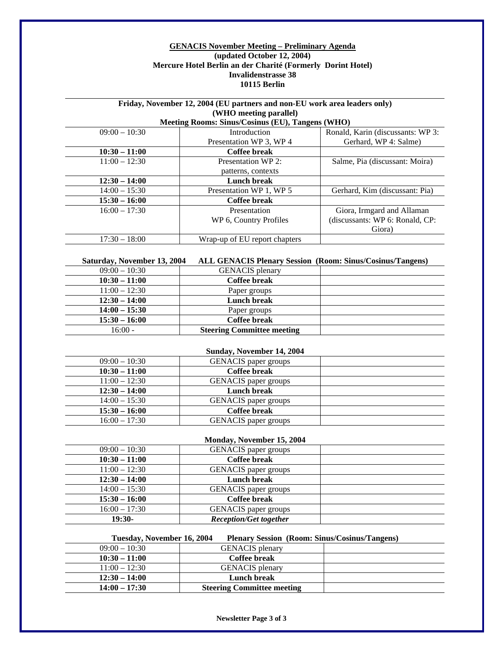#### **GENACIS November Meeting – Preliminary Agenda (updated October 12, 2004) Mercure Hotel Berlin an der Charité (Formerly Dorint Hotel) Invalidenstrasse 38 10115 Berlin**

## **Friday, November 12, 2004 (EU partners and non-EU work area leaders only) (WHO meeting parallel)**

## **Meeting Rooms: Sinus/Cosinus (EU), Tangens (WHO)**

| $09:00 - 10:30$ | Introduction                  | Ronald, Karin (discussants: WP 3: |
|-----------------|-------------------------------|-----------------------------------|
|                 | Presentation WP 3, WP 4       | Gerhard, WP 4: Salme)             |
| $10:30 - 11:00$ | Coffee break                  |                                   |
| $11:00 - 12:30$ | Presentation WP 2:            | Salme, Pia (discussant: Moira)    |
|                 | patterns, contexts            |                                   |
| $12:30 - 14:00$ | Lunch break                   |                                   |
| $14:00 - 15:30$ | Presentation WP 1, WP 5       | Gerhard, Kim (discussant: Pia)    |
| $15:30 - 16:00$ | Coffee break                  |                                   |
| $16:00 - 17:30$ | Presentation                  | Giora, Irmgard and Allaman        |
|                 | WP 6, Country Profiles        | (discussants: WP 6: Ronald, CP:   |
|                 |                               | Giora)                            |
| $17:30 - 18:00$ | Wrap-up of EU report chapters |                                   |

#### **Saturday, November 13, 2004 ALL GENACIS Plenary Session (Room: Sinus/Cosinus/Tangens)**

| $09:00 - 10:30$ | <b>GENACIS</b> plenary            |  |
|-----------------|-----------------------------------|--|
| $10:30 - 11:00$ | Coffee break                      |  |
| $11:00 - 12:30$ | Paper groups                      |  |
| $12:30 - 14:00$ | Lunch break                       |  |
| $14:00 - 15:30$ | Paper groups                      |  |
| $15:30 - 16:00$ | Coffee break                      |  |
| $16:00 -$       | <b>Steering Committee meeting</b> |  |

| Sunday, November 14, 2004 |                             |  |  |
|---------------------------|-----------------------------|--|--|
| $09:00 - 10:30$           | <b>GENACIS</b> paper groups |  |  |
| $10:30 - 11:00$           | Coffee break                |  |  |
| $11:00 - 12:30$           | <b>GENACIS</b> paper groups |  |  |
| $12:30 - 14:00$           | Lunch break                 |  |  |
| $14:00 - 15:30$           | <b>GENACIS</b> paper groups |  |  |
| $15:30 - 16:00$           | Coffee break                |  |  |
| $16:00 - 17:30$           | <b>GENACIS</b> paper groups |  |  |

| Monday, November 15, 2004     |  |  |  |  |
|-------------------------------|--|--|--|--|
| <b>GENACIS</b> paper groups   |  |  |  |  |
| <b>Coffee break</b>           |  |  |  |  |
| <b>GENACIS</b> paper groups   |  |  |  |  |
| Lunch break                   |  |  |  |  |
| <b>GENACIS</b> paper groups   |  |  |  |  |
| <b>Coffee break</b>           |  |  |  |  |
| <b>GENACIS</b> paper groups   |  |  |  |  |
| <b>Reception/Get together</b> |  |  |  |  |
|                               |  |  |  |  |

| Tuesday, November 16, 2004 |                                   | <b>Plenary Session</b> (Room: Sinus/Cosinus/Tangens) |
|----------------------------|-----------------------------------|------------------------------------------------------|
| $09:00 - 10:30$            | <b>GENACIS</b> plenary            |                                                      |
| $10:30 - 11:00$            | Coffee break                      |                                                      |
| $11:00 - 12:30$            | <b>GENACIS</b> plenary            |                                                      |
| $12:30 - 14:00$            | Lunch break                       |                                                      |
| $14:00 - 17:30$            | <b>Steering Committee meeting</b> |                                                      |

**Newsletter Page 3 of 3**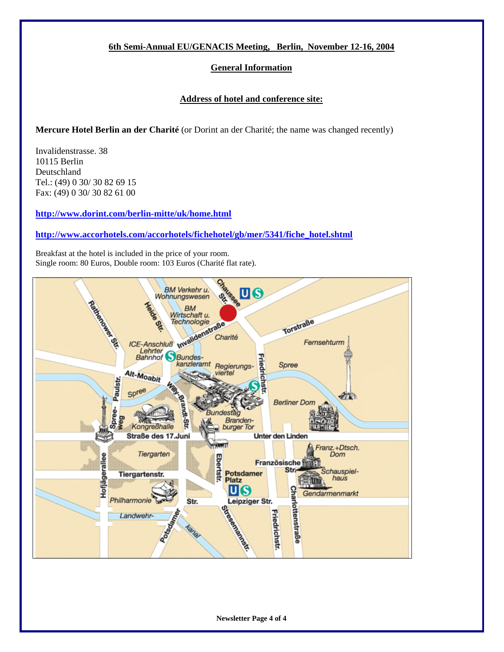## **6th Semi-Annual EU/GENACIS Meeting, Berlin, November 12-16, 2004**

## **General Information**

## **Address of hotel and conference site:**

## **Mercure Hotel Berlin an der Charité** (or Dorint an der Charité; the name was changed recently)

Invalidenstrasse. 38 10115 Berlin Deutschland Tel.: (49) 0 30/ 30 82 69 15 Fax: (49) 0 30/ 30 82 61 00

**http://www.dorint.com/berlin-mitte/uk/home.html**

## **http://www.accorhotels.com/accorhotels/fichehotel/gb/mer/5341/fiche\_hotel.shtml**

Breakfast at the hotel is included in the price of your room. Single room: 80 Euros, Double room: 103 Euros (Charité flat rate).



**Newsletter Page 4 of 4**